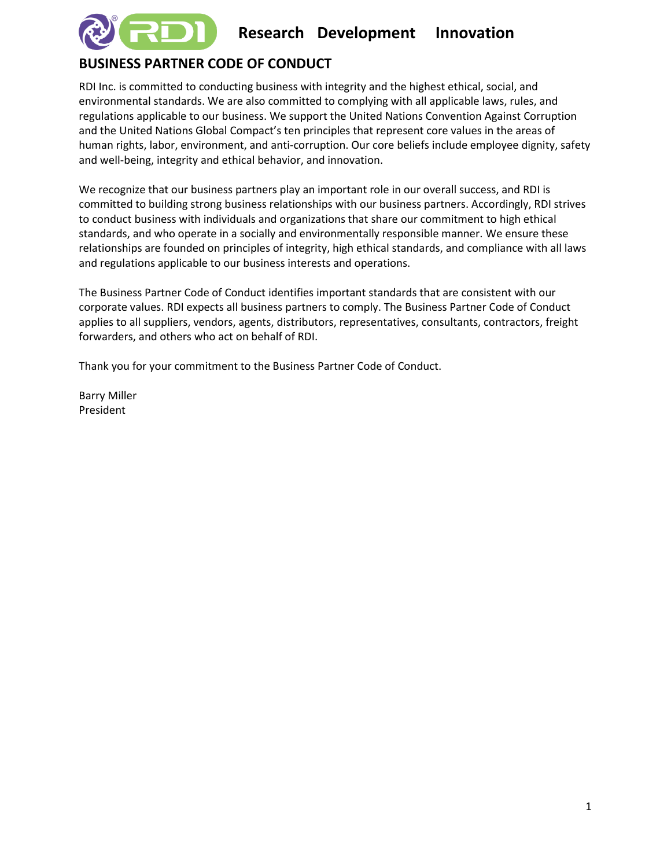

# **Research Development Innovation**

## **BUSINESS PARTNER CODE OF CONDUCT**

RDI Inc. is committed to conducting business with integrity and the highest ethical, social, and environmental standards. We are also committed to complying with all applicable laws, rules, and regulations applicable to our business. We support the United Nations Convention Against Corruption and the United Nations Global Compact's ten principles that represent core values in the areas of human rights, labor, environment, and anti-corruption. Our core beliefs include employee dignity, safety and well-being, integrity and ethical behavior, and innovation.

We recognize that our business partners play an important role in our overall success, and RDI is committed to building strong business relationships with our business partners. Accordingly, RDI strives to conduct business with individuals and organizations that share our commitment to high ethical standards, and who operate in a socially and environmentally responsible manner. We ensure these relationships are founded on principles of integrity, high ethical standards, and compliance with all laws and regulations applicable to our business interests and operations.

The Business Partner Code of Conduct identifies important standards that are consistent with our corporate values. RDI expects all business partners to comply. The Business Partner Code of Conduct applies to all suppliers, vendors, agents, distributors, representatives, consultants, contractors, freight forwarders, and others who act on behalf of RDI.

Thank you for your commitment to the Business Partner Code of Conduct.

Barry Miller President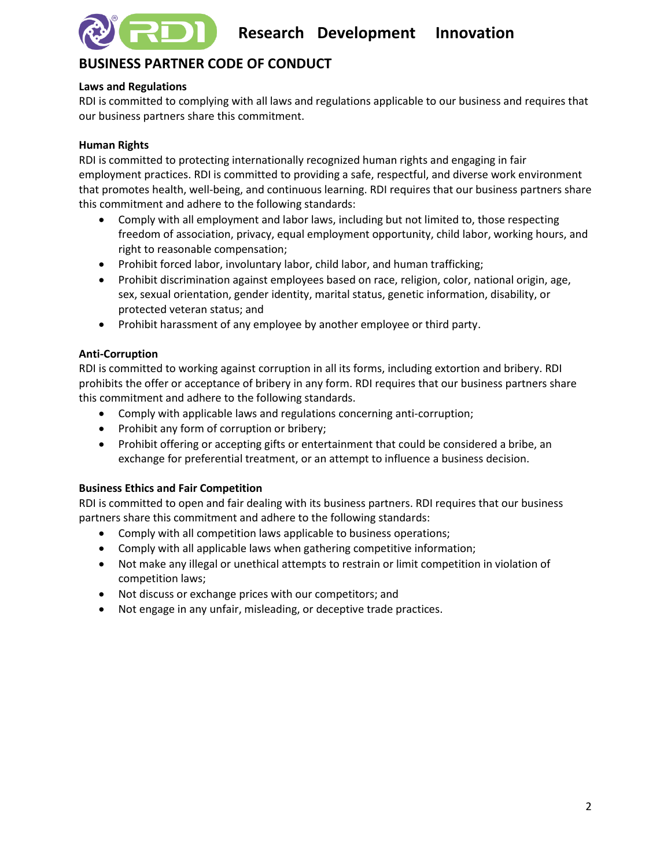

## **BUSINESS PARTNER CODE OF CONDUCT**

## **Laws and Regulations**

RDI is committed to complying with all laws and regulations applicable to our business and requires that our business partners share this commitment.

## **Human Rights**

RDI is committed to protecting internationally recognized human rights and engaging in fair employment practices. RDI is committed to providing a safe, respectful, and diverse work environment that promotes health, well-being, and continuous learning. RDI requires that our business partners share this commitment and adhere to the following standards:

- Comply with all employment and labor laws, including but not limited to, those respecting freedom of association, privacy, equal employment opportunity, child labor, working hours, and right to reasonable compensation;
- Prohibit forced labor, involuntary labor, child labor, and human trafficking;
- Prohibit discrimination against employees based on race, religion, color, national origin, age, sex, sexual orientation, gender identity, marital status, genetic information, disability, or protected veteran status; and
- Prohibit harassment of any employee by another employee or third party.

## **Anti-Corruption**

RDI is committed to working against corruption in all its forms, including extortion and bribery. RDI prohibits the offer or acceptance of bribery in any form. RDI requires that our business partners share this commitment and adhere to the following standards.

- Comply with applicable laws and regulations concerning anti-corruption;
- Prohibit any form of corruption or bribery;
- Prohibit offering or accepting gifts or entertainment that could be considered a bribe, an exchange for preferential treatment, or an attempt to influence a business decision.

## **Business Ethics and Fair Competition**

RDI is committed to open and fair dealing with its business partners. RDI requires that our business partners share this commitment and adhere to the following standards:

- Comply with all competition laws applicable to business operations;
- Comply with all applicable laws when gathering competitive information;
- Not make any illegal or unethical attempts to restrain or limit competition in violation of competition laws;
- Not discuss or exchange prices with our competitors; and
- Not engage in any unfair, misleading, or deceptive trade practices.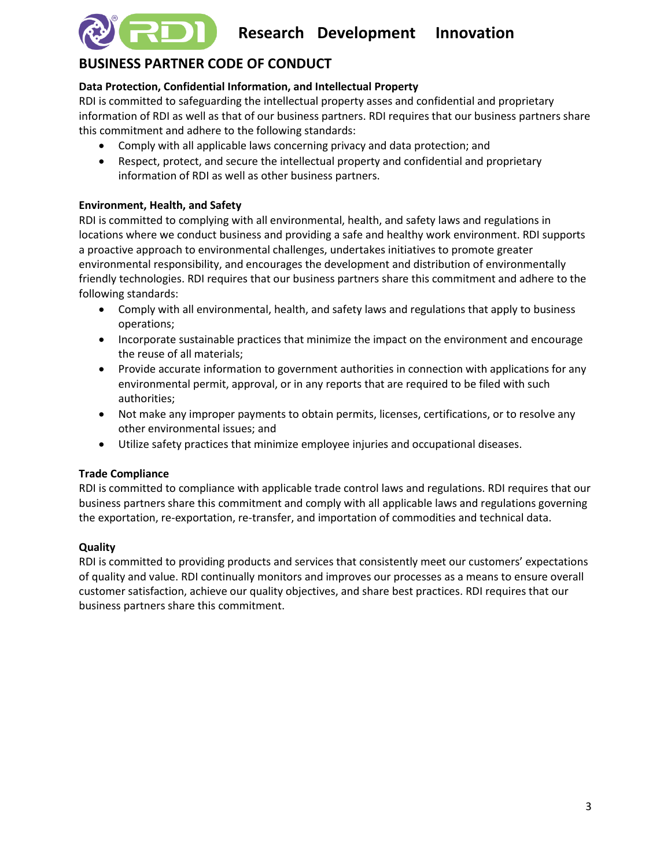

## **BUSINESS PARTNER CODE OF CONDUCT**

## **Data Protection, Confidential Information, and Intellectual Property**

RDI is committed to safeguarding the intellectual property asses and confidential and proprietary information of RDI as well as that of our business partners. RDI requires that our business partners share this commitment and adhere to the following standards:

- Comply with all applicable laws concerning privacy and data protection; and
- Respect, protect, and secure the intellectual property and confidential and proprietary information of RDI as well as other business partners.

## **Environment, Health, and Safety**

RDI is committed to complying with all environmental, health, and safety laws and regulations in locations where we conduct business and providing a safe and healthy work environment. RDI supports a proactive approach to environmental challenges, undertakes initiatives to promote greater environmental responsibility, and encourages the development and distribution of environmentally friendly technologies. RDI requires that our business partners share this commitment and adhere to the following standards:

- Comply with all environmental, health, and safety laws and regulations that apply to business operations;
- Incorporate sustainable practices that minimize the impact on the environment and encourage the reuse of all materials;
- Provide accurate information to government authorities in connection with applications for any environmental permit, approval, or in any reports that are required to be filed with such authorities;
- Not make any improper payments to obtain permits, licenses, certifications, or to resolve any other environmental issues; and
- Utilize safety practices that minimize employee injuries and occupational diseases.

## **Trade Compliance**

RDI is committed to compliance with applicable trade control laws and regulations. RDI requires that our business partners share this commitment and comply with all applicable laws and regulations governing the exportation, re-exportation, re-transfer, and importation of commodities and technical data.

## **Quality**

RDI is committed to providing products and services that consistently meet our customers' expectations of quality and value. RDI continually monitors and improves our processes as a means to ensure overall customer satisfaction, achieve our quality objectives, and share best practices. RDI requires that our business partners share this commitment.